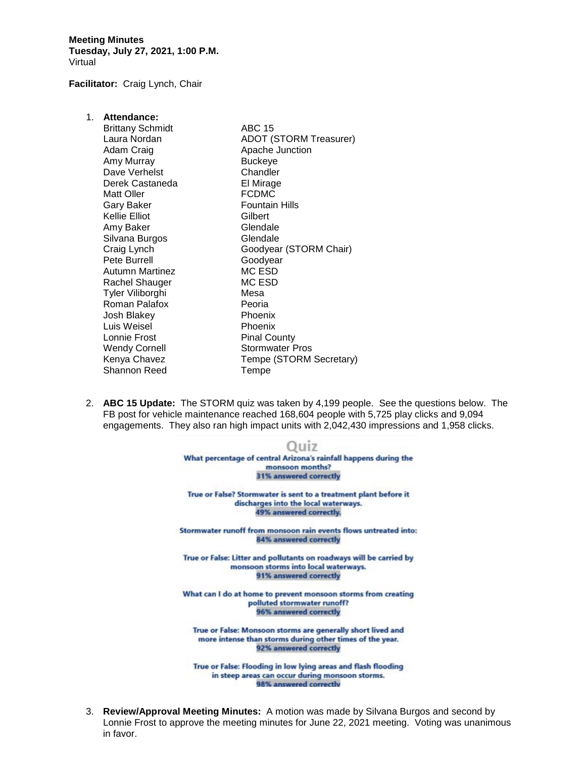**Meeting Minutes Tuesday, July 27, 2021, 1:00 P.M.** Virtual

**Facilitator:** Craig Lynch, Chair

| 1. Attendance:<br><b>Brittany Schmidt</b><br>Laura Nordan<br>Adam Craig<br>Amy Murray<br>Dave Verhelst<br>Derek Castaneda<br><b>Matt Oller</b><br>Gary Baker<br>Kellie Elliot<br>Amy Baker<br>Silvana Burgos<br>Craig Lynch<br>Pete Burrell<br>Autumn Martinez<br>Rachel Shauger<br>Tyler Viliborghi<br>Roman Palafox<br>Josh Blakey<br>Luis Weisel | <b>ABC 15</b><br><b>ADOT (STORM Treasurer)</b><br>Apache Junction<br>Buckeye<br>Chandler<br>El Mirage<br><b>FCDMC</b><br>Fountain Hills<br>Gilbert<br>Glendale<br>Glendale<br>Goodyear (STORM Chair)<br>Goodyear<br>MC ESD<br>MC ESD<br>Mesa<br>Peoria<br>Phoenix<br>Phoenix |
|-----------------------------------------------------------------------------------------------------------------------------------------------------------------------------------------------------------------------------------------------------------------------------------------------------------------------------------------------------|------------------------------------------------------------------------------------------------------------------------------------------------------------------------------------------------------------------------------------------------------------------------------|
|                                                                                                                                                                                                                                                                                                                                                     |                                                                                                                                                                                                                                                                              |
| Lonnie Frost                                                                                                                                                                                                                                                                                                                                        | <b>Pinal County</b>                                                                                                                                                                                                                                                          |
| <b>Wendy Cornell</b><br>Kenya Chavez<br>Shannon Reed                                                                                                                                                                                                                                                                                                | Stormwater Pros<br>Tempe (STORM Secretary)<br>Tempe                                                                                                                                                                                                                          |
|                                                                                                                                                                                                                                                                                                                                                     |                                                                                                                                                                                                                                                                              |

2. **ABC 15 Update:** The STORM quiz was taken by 4,199 people. See the questions below. The FB post for vehicle maintenance reached 168,604 people with 5,725 play clicks and 9,094 engagements. They also ran high impact units with 2,042,430 impressions and 1,958 clicks.



in steep areas can occur during monsoon storms. 98% answered correctly

3. **Review/Approval Meeting Minutes:** A motion was made by Silvana Burgos and second by Lonnie Frost to approve the meeting minutes for June 22, 2021 meeting. Voting was unanimous in favor.